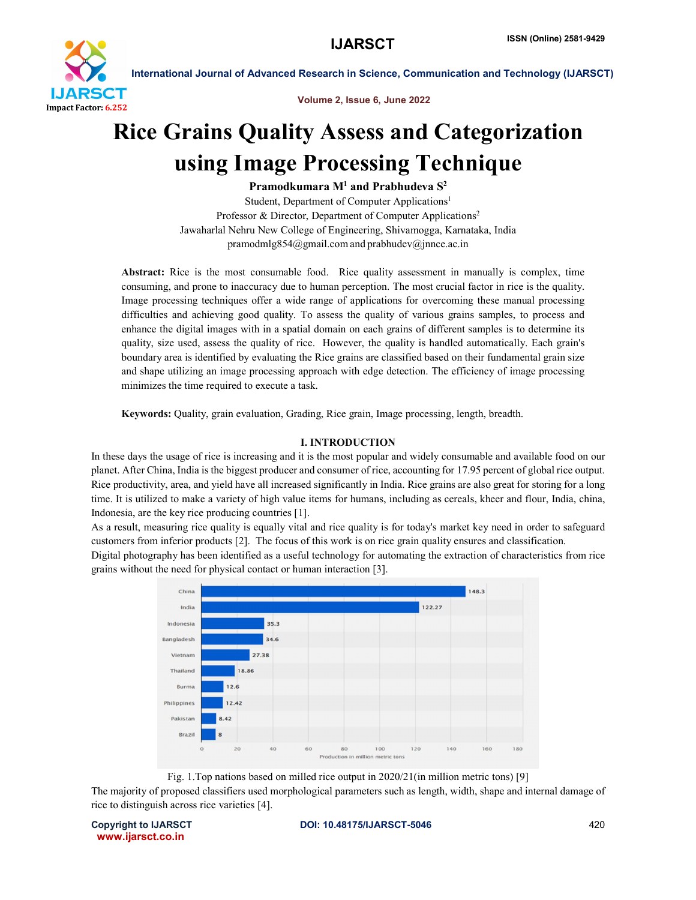

 International Journal of Advanced Research in Science, Communication and Technology (IJARSCT) Volume 2, Issue 6, June 2022

# Rice Grains Quality Assess and Categorization using Image Processing Technique

Pramodkumara  $M<sup>1</sup>$  and Prabhudeva  $S<sup>2</sup>$ 

Student, Department of Computer Applications<sup>1</sup> Professor & Director, Department of Computer Applications<sup>2</sup> Jawaharlal Nehru New College of Engineering, Shivamogga, Karnataka, India pramodmlg854@gmail.comand prabhudev@jnnce.ac.in

Abstract: Rice is the most consumable food. Rice quality assessment in manually is complex, time consuming, and prone to inaccuracy due to human perception. The most crucial factor in rice is the quality. Image processing techniques offer a wide range of applications for overcoming these manual processing difficulties and achieving good quality. To assess the quality of various grains samples, to process and enhance the digital images with in a spatial domain on each grains of different samples is to determine its quality, size used, assess the quality of rice. However, the quality is handled automatically. Each grain's boundary area is identified by evaluating the Rice grains are classified based on their fundamental grain size and shape utilizing an image processing approach with edge detection. The efficiency of image processing minimizes the time required to execute a task.

Keywords: Quality, grain evaluation, Grading, Rice grain, Image processing, length, breadth.

# I. INTRODUCTION

In these days the usage of rice is increasing and it is the most popular and widely consumable and available food on our planet. After China, India is the biggest producer and consumer of rice, accounting for 17.95 percent of global rice output. Rice productivity, area, and yield have all increased significantly in India. Rice grains are also great for storing for a long time. It is utilized to make a variety of high value items for humans, including as cereals, kheer and flour, India, china, Indonesia, are the key rice producing countries [1].

As a result, measuring rice quality is equally vital and rice quality is for today's market key need in order to safeguard customers from inferior products [2]. The focus of this work is on rice grain quality ensures and classification.

Digital photography has been identified as a useful technology for automating the extraction of characteristics from rice grains without the need for physical contact or human interaction [3].



Fig. 1.Top nations based on milled rice output in 2020/21(in million metric tons) [9] The majority of proposed classifiers used morphological parameters such as length, width, shape and internal damage of rice to distinguish across rice varieties [4].

www.ijarsct.co.in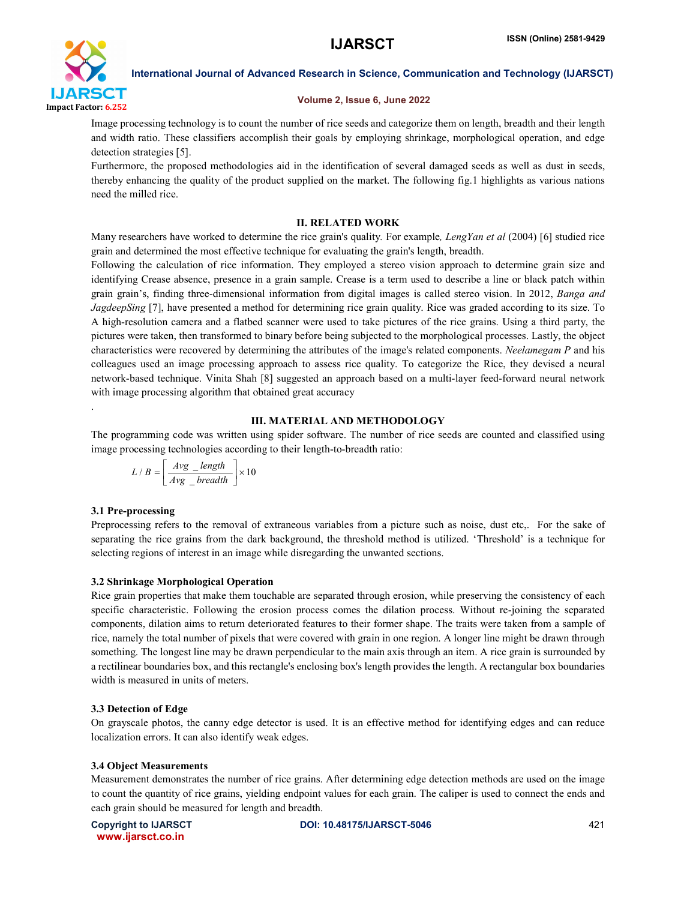

International Journal of Advanced Research in Science, Communication and Technology (IJARSCT)

## Volume 2, Issue 6, June 2022

Image processing technology is to count the number of rice seeds and categorize them on length, breadth and their length and width ratio. These classifiers accomplish their goals by employing shrinkage, morphological operation, and edge detection strategies [5].

Furthermore, the proposed methodologies aid in the identification of several damaged seeds as well as dust in seeds, thereby enhancing the quality of the product supplied on the market. The following fig.1 highlights as various nations need the milled rice.

## II. RELATED WORK

Many researchers have worked to determine the rice grain's quality*.* For example*, LengYan et al* (2004) [6] studied rice grain and determined the most effective technique for evaluating the grain's length, breadth.

Following the calculation of rice information. They employed a stereo vision approach to determine grain size and identifying Crease absence, presence in a grain sample. Crease is a term used to describe a line or black patch within grain grain's, finding three-dimensional information from digital images is called stereo vision. In 2012, *Banga and JagdeepSing* [7], have presented a method for determining rice grain quality. Rice was graded according to its size. To A high-resolution camera and a flatbed scanner were used to take pictures of the rice grains. Using a third party, the pictures were taken, then transformed to binary before being subjected to the morphological processes. Lastly, the object characteristics were recovered by determining the attributes of the image's related components. *Neelamegam P* and his colleagues used an image processing approach to assess rice quality. To categorize the Rice, they devised a neural network-based technique. Vinita Shah [8] suggested an approach based on a multi-layer feed-forward neural network with image processing algorithm that obtained great accuracy

## III. MATERIAL AND METHODOLOGY

The programming code was written using spider software. The number of rice seeds are counted and classified using image processing technologies according to their length-to-breadth ratio:

$$
L/B = \left\lfloor \frac{Avg\_length}{Avg\_breadth} \right\rfloor \times 10
$$

#### 3.1 Pre-processing

.

Preprocessing refers to the removal of extraneous variables from a picture such as noise, dust etc,. For the sake of separating the rice grains from the dark background, the threshold method is utilized. 'Threshold' is a technique for selecting regions of interest in an image while disregarding the unwanted sections.

#### 3.2 Shrinkage Morphological Operation

Rice grain properties that make them touchable are separated through erosion, while preserving the consistency of each specific characteristic. Following the erosion process comes the dilation process. Without re-joining the separated components, dilation aims to return deteriorated features to their former shape. The traits were taken from a sample of rice, namely the total number of pixels that were covered with grain in one region. A longer line might be drawn through something. The longest line may be drawn perpendicular to the main axis through an item. A rice grain is surrounded by a rectilinear boundaries box, and this rectangle's enclosing box's length provides the length. A rectangular box boundaries width is measured in units of meters.

# 3.3 Detection of Edge

On grayscale photos, the canny edge detector is used. It is an effective method for identifying edges and can reduce localization errors. It can also identify weak edges.

# 3.4 Object Measurements

Measurement demonstrates the number of rice grains. After determining edge detection methods are used on the image to count the quantity of rice grains, yielding endpoint values for each grain. The caliper is used to connect the ends and each grain should be measured for length and breadth.

www.ijarsct.co.in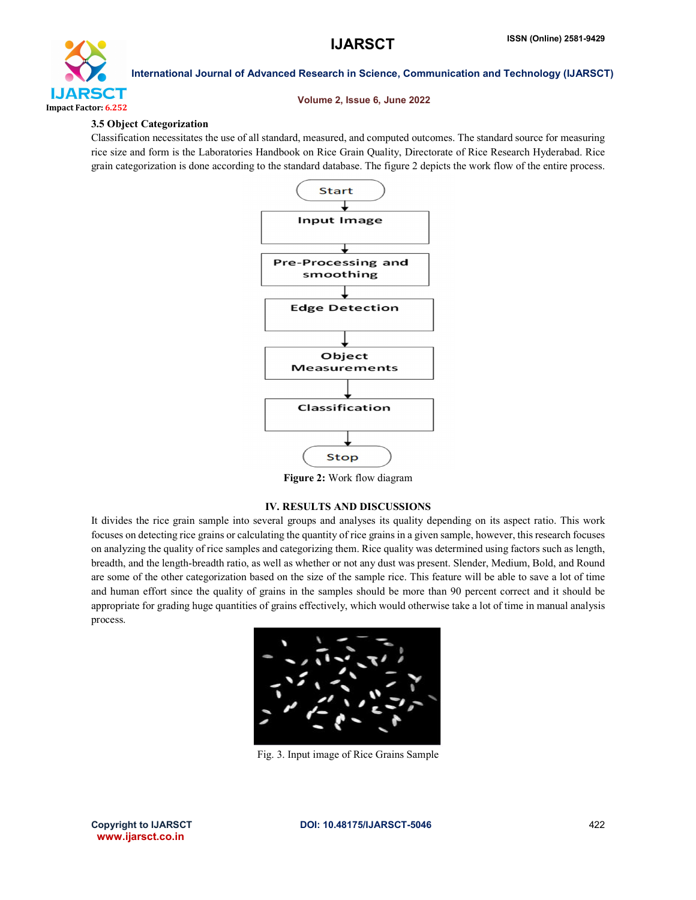

International Journal of Advanced Research in Science, Communication and Technology (IJARSCT)

#### Volume 2, Issue 6, June 2022

#### 3.5 Object Categorization

Classification necessitates the use of all standard, measured, and computed outcomes. The standard source for measuring rice size and form is the Laboratories Handbook on Rice Grain Quality, Directorate of Rice Research Hyderabad. Rice grain categorization is done according to the standard database. The figure 2 depicts the work flow of the entire process.



Figure 2: Work flow diagram

# IV. RESULTS AND DISCUSSIONS

It divides the rice grain sample into several groups and analyses its quality depending on its aspect ratio. This work focuses on detecting rice grains or calculating the quantity of rice grains in a given sample, however, this research focuses on analyzing the quality of rice samples and categorizing them. Rice quality was determined using factors such as length, breadth, and the length-breadth ratio, as well as whether or not any dust was present. Slender, Medium, Bold, and Round are some of the other categorization based on the size of the sample rice. This feature will be able to save a lot of time and human effort since the quality of grains in the samples should be more than 90 percent correct and it should be appropriate for grading huge quantities of grains effectively, which would otherwise take a lot of time in manual analysis process.



Fig. 3. Input image of Rice Grains Sample

www.ijarsct.co.in

Copyright to IJARSCT **DOI: 10.48175/IJARSCT-5046** 422